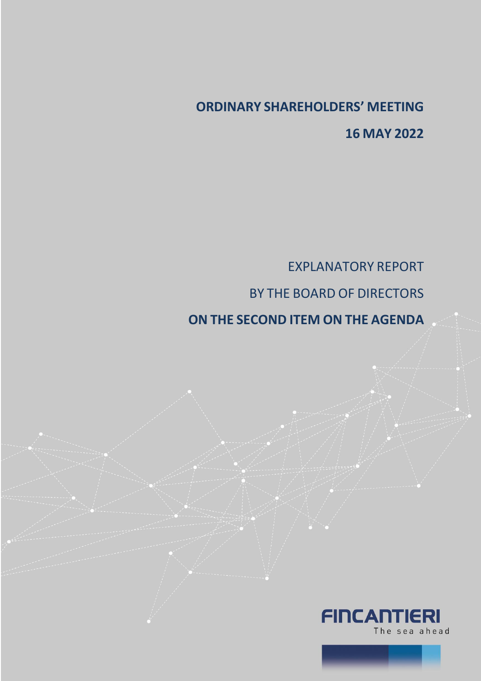## **ORDINARY SHAREHOLDERS' MEETING 16 MAY 2022**

EXPLANATORY REPORT BY THE BOARD OF DIRECTORS

**ON THE SECOND ITEM ON THE AGENDA**



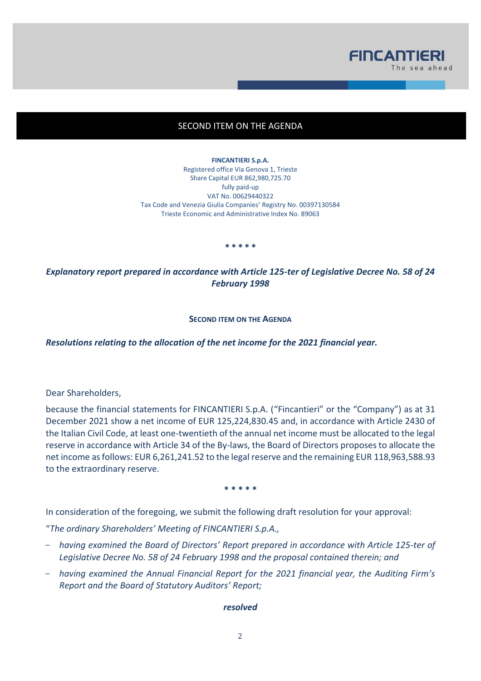

## SECOND ITEM ON THE AGENDA

**FINCANTIERI S.p.A.** Registered office Via Genova 1, Trieste Share Capital EUR 862,980,725.70 fully paid-up VAT No. 00629440322 Tax Code and Venezia Giulia Companies' Registry No. 00397130584 Trieste Economic and Administrative Index No. 89063

**\* \* \* \* \***

*Explanatory report prepared in accordance with Article 125-ter of Legislative Decree No. 58 of 24 February 1998* 

**SECOND ITEM ON THE AGENDA**

*Resolutions relating to the allocation of the net income for the 2021 financial year.*

Dear Shareholders,

because the financial statements for FINCANTIERI S.p.A. ("Fincantieri" or the "Company") as at 31 December 2021 show a net income of EUR 125,224,830.45 and, in accordance with Article 2430 of the Italian Civil Code, at least one-twentieth of the annual net income must be allocated to the legal reserve in accordance with Article 34 of the By-laws, the Board of Directors proposes to allocate the net income as follows: EUR 6,261,241.52 to the legal reserve and the remaining EUR 118,963,588.93 to the extraordinary reserve.

**\* \* \* \* \***

In consideration of the foregoing, we submit the following draft resolution for your approval:

"*The ordinary Shareholders' Meeting of FINCANTIERI S.p.A.,* 

- *having examined the Board of Directors' Report prepared in accordance with Article 125-ter of Legislative Decree No. 58 of 24 February 1998 and the proposal contained therein; and*
- *having examined the Annual Financial Report for the 2021 financial year, the Auditing Firm's Report and the Board of Statutory Auditors' Report;*

## *resolved*